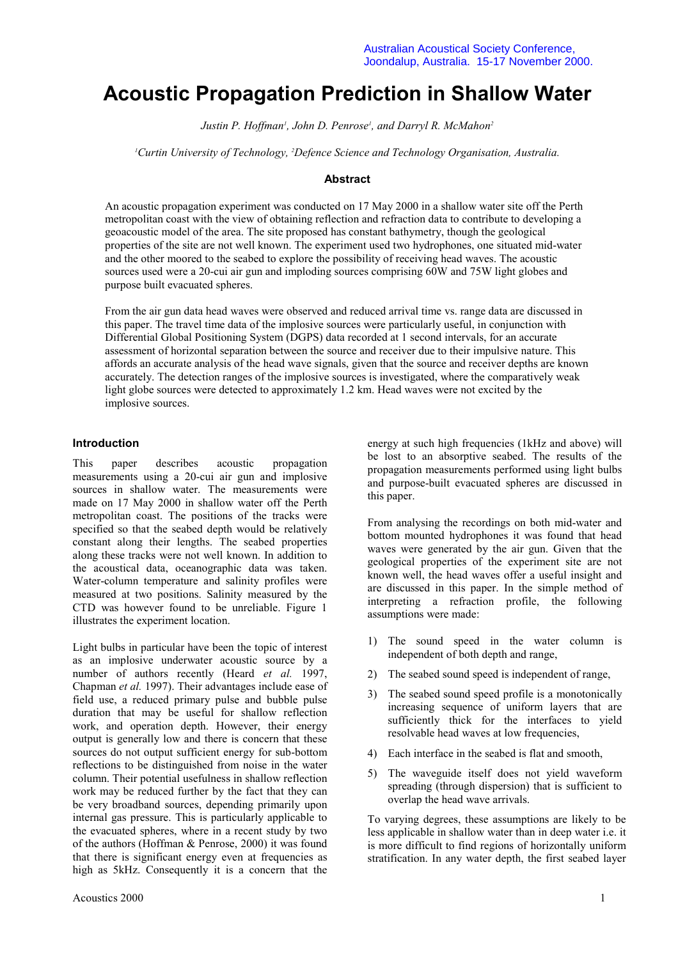# **Acoustic Propagation Prediction in Shallow Water**

*Justin P. Hoffman<sup>1</sup>, John D. Penrose<sup>1</sup>, and Darryl R. McMahon<sup>2</sup>* 

*1 Curtin University of Technology, 2 Defence Science and Technology Organisation, Australia.*

# **Abstract**

An acoustic propagation experiment was conducted on 17 May 2000 in a shallow water site off the Perth metropolitan coast with the view of obtaining reflection and refraction data to contribute to developing a geoacoustic model of the area. The site proposed has constant bathymetry, though the geological properties of the site are not well known. The experiment used two hydrophones, one situated mid-water and the other moored to the seabed to explore the possibility of receiving head waves. The acoustic sources used were a 20-cui air gun and imploding sources comprising 60W and 75W light globes and purpose built evacuated spheres.

From the air gun data head waves were observed and reduced arrival time vs. range data are discussed in this paper. The travel time data of the implosive sources were particularly useful, in conjunction with Differential Global Positioning System (DGPS) data recorded at 1 second intervals, for an accurate assessment of horizontal separation between the source and receiver due to their impulsive nature. This affords an accurate analysis of the head wave signals, given that the source and receiver depths are known accurately. The detection ranges of the implosive sources is investigated, where the comparatively weak light globe sources were detected to approximately 1.2 km. Head waves were not excited by the implosive sources.

#### **Introduction**

This paper describes acoustic propagation measurements using a 20-cui air gun and implosive sources in shallow water. The measurements were made on 17 May 2000 in shallow water off the Perth metropolitan coast. The positions of the tracks were specified so that the seabed depth would be relatively constant along their lengths. The seabed properties along these tracks were not well known. In addition to the acoustical data, oceanographic data was taken. Water-column temperature and salinity profiles were measured at two positions. Salinity measured by the CTD was however found to be unreliable. Figure 1 illustrates the experiment location.

Light bulbs in particular have been the topic of interest as an implosive underwater acoustic source by a number of authors recently (Heard *et al.* 1997, Chapman *et al.* 1997). Their advantages include ease of field use, a reduced primary pulse and bubble pulse duration that may be useful for shallow reflection work, and operation depth. However, their energy output is generally low and there is concern that these sources do not output sufficient energy for sub-bottom reflections to be distinguished from noise in the water column. Their potential usefulness in shallow reflection work may be reduced further by the fact that they can be very broadband sources, depending primarily upon internal gas pressure. This is particularly applicable to the evacuated spheres, where in a recent study by two of the authors (Hoffman & Penrose, 2000) it was found that there is significant energy even at frequencies as high as 5kHz. Consequently it is a concern that the

energy at such high frequencies (1kHz and above) will be lost to an absorptive seabed. The results of the propagation measurements performed using light bulbs and purpose-built evacuated spheres are discussed in this paper.

From analysing the recordings on both mid-water and bottom mounted hydrophones it was found that head waves were generated by the air gun. Given that the geological properties of the experiment site are not known well, the head waves offer a useful insight and are discussed in this paper. In the simple method of interpreting a refraction profile, the following assumptions were made:

- 1) The sound speed in the water column is independent of both depth and range,
- 2) The seabed sound speed is independent of range,
- 3) The seabed sound speed profile is a monotonically increasing sequence of uniform layers that are sufficiently thick for the interfaces to yield resolvable head waves at low frequencies,
- 4) Each interface in the seabed is flat and smooth,
- 5) The waveguide itself does not yield waveform spreading (through dispersion) that is sufficient to overlap the head wave arrivals.

To varying degrees, these assumptions are likely to be less applicable in shallow water than in deep water i.e. it is more difficult to find regions of horizontally uniform stratification. In any water depth, the first seabed layer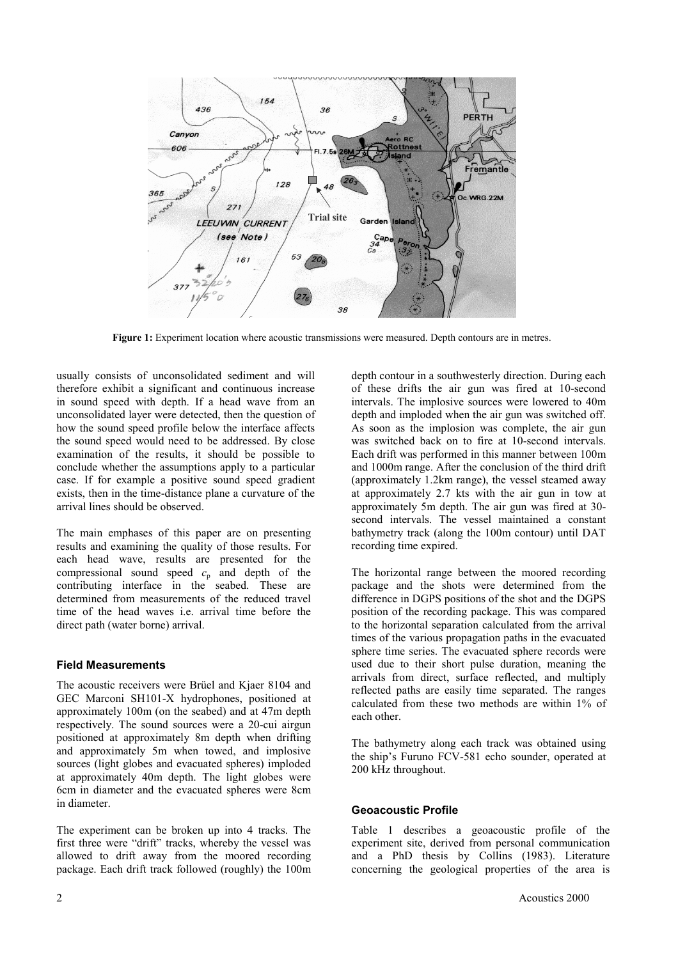

**Figure 1:** Experiment location where acoustic transmissions were measured. Depth contours are in metres.

usually consists of unconsolidated sediment and will therefore exhibit a significant and continuous increase in sound speed with depth. If a head wave from an unconsolidated layer were detected, then the question of how the sound speed profile below the interface affects the sound speed would need to be addressed. By close examination of the results, it should be possible to conclude whether the assumptions apply to a particular case. If for example a positive sound speed gradient exists, then in the time-distance plane a curvature of the arrival lines should be observed.

The main emphases of this paper are on presenting results and examining the quality of those results. For each head wave, results are presented for the compressional sound speed  $c_p$  and depth of the contributing interface in the seabed. These are determined from measurements of the reduced travel time of the head waves i.e. arrival time before the direct path (water borne) arrival.

## **Field Measurements**

The acoustic receivers were Brüel and Kjaer 8104 and GEC Marconi SH101-X hydrophones, positioned at approximately 100m (on the seabed) and at 47m depth respectively. The sound sources were a 20-cui airgun positioned at approximately 8m depth when drifting and approximately 5m when towed, and implosive sources (light globes and evacuated spheres) imploded at approximately 40m depth. The light globes were 6cm in diameter and the evacuated spheres were 8cm in diameter.

The experiment can be broken up into 4 tracks. The first three were "drift" tracks, whereby the vessel was allowed to drift away from the moored recording package. Each drift track followed (roughly) the 100m

depth contour in a southwesterly direction. During each of these drifts the air gun was fired at 10-second intervals. The implosive sources were lowered to 40m depth and imploded when the air gun was switched off. As soon as the implosion was complete, the air gun was switched back on to fire at 10-second intervals. Each drift was performed in this manner between 100m and 1000m range. After the conclusion of the third drift (approximately 1.2km range), the vessel steamed away at approximately 2.7 kts with the air gun in tow at approximately 5m depth. The air gun was fired at 30 second intervals. The vessel maintained a constant bathymetry track (along the 100m contour) until DAT recording time expired.

The horizontal range between the moored recording package and the shots were determined from the difference in DGPS positions of the shot and the DGPS position of the recording package. This was compared to the horizontal separation calculated from the arrival times of the various propagation paths in the evacuated sphere time series. The evacuated sphere records were used due to their short pulse duration, meaning the arrivals from direct, surface reflected, and multiply reflected paths are easily time separated. The ranges calculated from these two methods are within 1% of each other.

The bathymetry along each track was obtained using the ship's Furuno FCV-581 echo sounder, operated at 200 kHz throughout.

## **Geoacoustic Profile**

Table 1 describes a geoacoustic profile of the experiment site, derived from personal communication and a PhD thesis by Collins (1983). Literature concerning the geological properties of the area is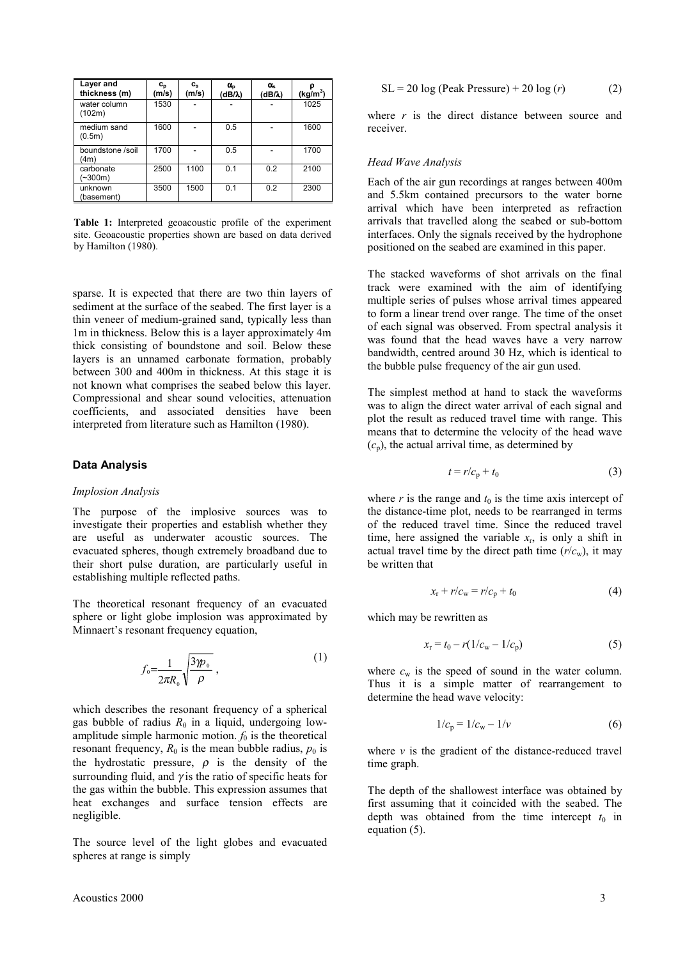| Layer and<br>thickness (m) | $\mathbf{c}_{\mathbf{p}}$<br>(m/s) | $c_{s}$<br>(m/s) | $\alpha_{o}$<br>(dB/λ) | $\alpha_{s}$<br>$(dB/\lambda)$ | (kg/m <sup>3</sup> ) |
|----------------------------|------------------------------------|------------------|------------------------|--------------------------------|----------------------|
| water column<br>(102m)     | 1530                               |                  |                        |                                | 1025                 |
| medium sand<br>(0.5m)      | 1600                               |                  | 0.5                    |                                | 1600                 |
| boundstone /soil<br>(4m)   | 1700                               |                  | 0.5                    |                                | 1700                 |
| carbonate<br>$-300m$ )     | 2500                               | 1100             | 0.1                    | 0.2                            | 2100                 |
| unknown<br>(basement)      | 3500                               | 1500             | 0.1                    | 0.2                            | 2300                 |

**Table 1:** Interpreted geoacoustic profile of the experiment site. Geoacoustic properties shown are based on data derived by Hamilton (1980).

sparse. It is expected that there are two thin layers of sediment at the surface of the seabed. The first layer is a thin veneer of medium-grained sand, typically less than 1m in thickness. Below this is a layer approximately 4m thick consisting of boundstone and soil. Below these layers is an unnamed carbonate formation, probably between 300 and 400m in thickness. At this stage it is not known what comprises the seabed below this layer. Compressional and shear sound velocities, attenuation coefficients, and associated densities have been interpreted from literature such as Hamilton (1980).

#### **Data Analysis**

#### *Implosion Analysis*

The purpose of the implosive sources was to investigate their properties and establish whether they are useful as underwater acoustic sources. The evacuated spheres, though extremely broadband due to their short pulse duration, are particularly useful in establishing multiple reflected paths.

The theoretical resonant frequency of an evacuated sphere or light globe implosion was approximated by Minnaert's resonant frequency equation,

$$
f_{\scriptscriptstyle 0} = \frac{1}{2\pi R_{\scriptscriptstyle 0}} \sqrt{\frac{3\mathcal{p}_{\scriptscriptstyle 0}}{\rho}} \,, \tag{1}
$$

which describes the resonant frequency of a spherical gas bubble of radius  $R_0$  in a liquid, undergoing lowamplitude simple harmonic motion.  $f_0$  is the theoretical resonant frequency,  $R_0$  is the mean bubble radius,  $p_0$  is the hydrostatic pressure,  $\rho$  is the density of the surrounding fluid, and  $\gamma$  is the ratio of specific heats for the gas within the bubble. This expression assumes that heat exchanges and surface tension effects are negligible.

The source level of the light globes and evacuated spheres at range is simply

$$
SL = 20 \log (Peak Pressure) + 20 \log (r)
$$
 (2)

where *r* is the direct distance between source and receiver.

#### *Head Wave Analysis*

Each of the air gun recordings at ranges between 400m and 5.5km contained precursors to the water borne arrival which have been interpreted as refraction arrivals that travelled along the seabed or sub-bottom interfaces. Only the signals received by the hydrophone positioned on the seabed are examined in this paper.

The stacked waveforms of shot arrivals on the final track were examined with the aim of identifying multiple series of pulses whose arrival times appeared to form a linear trend over range. The time of the onset of each signal was observed. From spectral analysis it was found that the head waves have a very narrow bandwidth, centred around 30 Hz, which is identical to the bubble pulse frequency of the air gun used.

The simplest method at hand to stack the waveforms was to align the direct water arrival of each signal and plot the result as reduced travel time with range. This means that to determine the velocity of the head wave  $(c_p)$ , the actual arrival time, as determined by

$$
t = r/c_p + t_0 \tag{3}
$$

where  $r$  is the range and  $t_0$  is the time axis intercept of the distance-time plot, needs to be rearranged in terms of the reduced travel time. Since the reduced travel time, here assigned the variable  $x_r$ , is only a shift in actual travel time by the direct path time  $(r/c<sub>w</sub>)$ , it may be written that

$$
x_{\rm r} + r/c_{\rm w} = r/c_{\rm p} + t_0 \tag{4}
$$

which may be rewritten as

$$
x_{r} = t_0 - r(1/c_{w} - 1/c_{p})
$$
\n(5)

where  $c_w$  is the speed of sound in the water column. Thus it is a simple matter of rearrangement to determine the head wave velocity:

$$
1/c_{\rm p} = 1/c_{\rm w} - 1/\nu \tag{6}
$$

where  $\nu$  is the gradient of the distance-reduced travel time graph.

The depth of the shallowest interface was obtained by first assuming that it coincided with the seabed. The depth was obtained from the time intercept  $t_0$  in equation (5).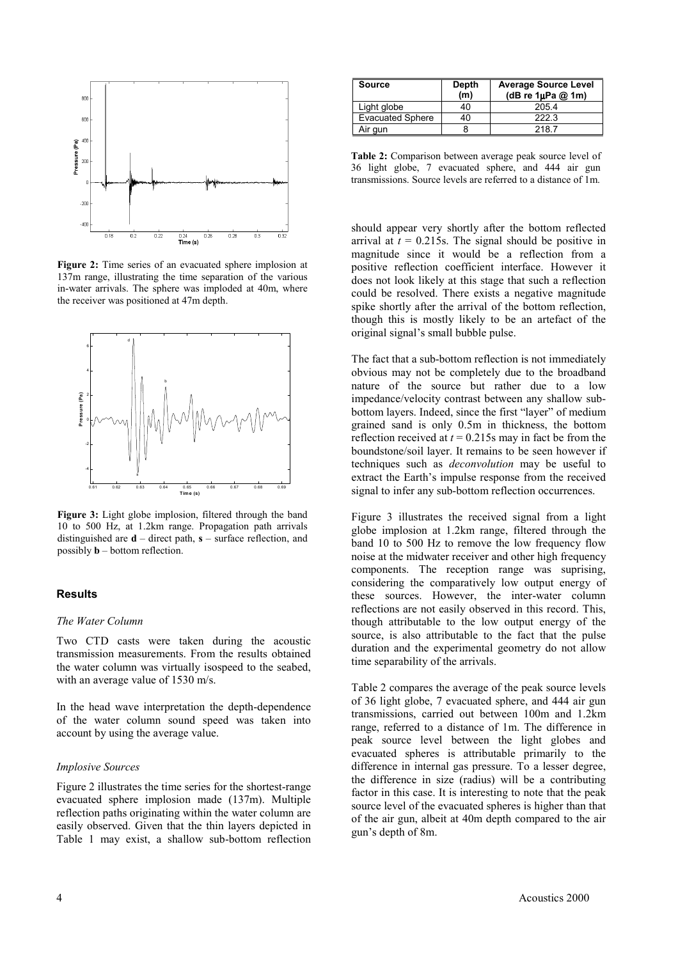

**Figure 2:** Time series of an evacuated sphere implosion at 137m range, illustrating the time separation of the various in-water arrivals. The sphere was imploded at 40m, where the receiver was positioned at 47m depth.



**Figure 3:** Light globe implosion, filtered through the band 10 to 500 Hz, at 1.2km range. Propagation path arrivals distinguished are **d** – direct path, **s** – surface reflection, and possibly **b** – bottom reflection.

# **Results**

## *The Water Column*

Two CTD casts were taken during the acoustic transmission measurements. From the results obtained the water column was virtually isospeed to the seabed, with an average value of 1530 m/s.

In the head wave interpretation the depth-dependence of the water column sound speed was taken into account by using the average value.

#### *Implosive Sources*

Figure 2 illustrates the time series for the shortest-range evacuated sphere implosion made (137m). Multiple reflection paths originating within the water column are easily observed. Given that the thin layers depicted in Table 1 may exist, a shallow sub-bottom reflection

| Source                  | Depth<br>(m) | <b>Average Source Level</b><br>(dB re $1\mu$ Pa @ 1m) |
|-------------------------|--------------|-------------------------------------------------------|
| Light globe             | 40           | 205.4                                                 |
| <b>Evacuated Sphere</b> | 40           | 222.3                                                 |
| Air gun                 |              | 2187                                                  |

**Table 2:** Comparison between average peak source level of 36 light globe, 7 evacuated sphere, and 444 air gun transmissions. Source levels are referred to a distance of 1m.

should appear very shortly after the bottom reflected arrival at  $t = 0.215$ s. The signal should be positive in magnitude since it would be a reflection from a positive reflection coefficient interface. However it does not look likely at this stage that such a reflection could be resolved. There exists a negative magnitude spike shortly after the arrival of the bottom reflection. though this is mostly likely to be an artefact of the original signal's small bubble pulse.

The fact that a sub-bottom reflection is not immediately obvious may not be completely due to the broadband nature of the source but rather due to a low impedance/velocity contrast between any shallow subbottom layers. Indeed, since the first "layer" of medium grained sand is only 0.5m in thickness, the bottom reflection received at  $t = 0.215$ s may in fact be from the boundstone/soil layer. It remains to be seen however if techniques such as *deconvolution* may be useful to extract the Earth's impulse response from the received signal to infer any sub-bottom reflection occurrences.

Figure 3 illustrates the received signal from a light globe implosion at 1.2km range, filtered through the band 10 to 500 Hz to remove the low frequency flow noise at the midwater receiver and other high frequency components. The reception range was suprising, considering the comparatively low output energy of these sources. However, the inter-water column reflections are not easily observed in this record. This, though attributable to the low output energy of the source, is also attributable to the fact that the pulse duration and the experimental geometry do not allow time separability of the arrivals.

Table 2 compares the average of the peak source levels of 36 light globe, 7 evacuated sphere, and 444 air gun transmissions, carried out between 100m and 1.2km range, referred to a distance of 1m. The difference in peak source level between the light globes and evacuated spheres is attributable primarily to the difference in internal gas pressure. To a lesser degree, the difference in size (radius) will be a contributing factor in this case. It is interesting to note that the peak source level of the evacuated spheres is higher than that of the air gun, albeit at 40m depth compared to the air gun's depth of 8m.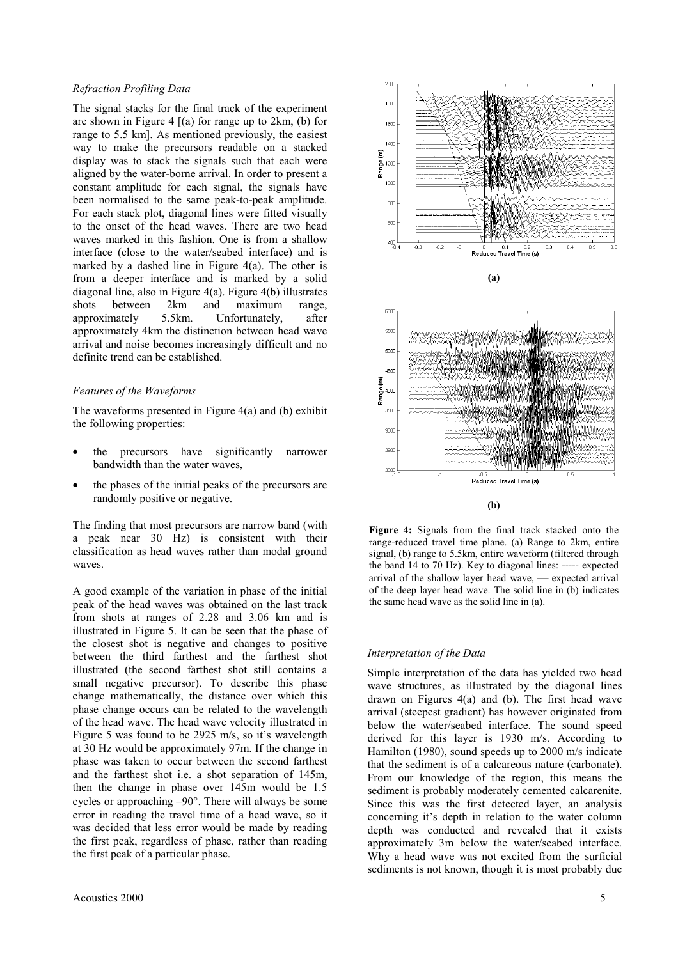#### *Refraction Profiling Data*

The signal stacks for the final track of the experiment are shown in Figure 4  $[(a)$  for range up to 2km, (b) for range to 5.5 km]. As mentioned previously, the easiest way to make the precursors readable on a stacked display was to stack the signals such that each were aligned by the water-borne arrival. In order to present a constant amplitude for each signal, the signals have been normalised to the same peak-to-peak amplitude. For each stack plot, diagonal lines were fitted visually to the onset of the head waves. There are two head waves marked in this fashion. One is from a shallow interface (close to the water/seabed interface) and is marked by a dashed line in Figure 4(a). The other is from a deeper interface and is marked by a solid diagonal line, also in Figure 4(a). Figure 4(b) illustrates shots between 2km and maximum range, approximately 5.5km. Unfortunately, after approximately 4km the distinction between head wave arrival and noise becomes increasingly difficult and no definite trend can be established.

#### *Features of the Waveforms*

The waveforms presented in Figure  $4(a)$  and (b) exhibit the following properties:

- the precursors have significantly narrower bandwidth than the water waves,
- the phases of the initial peaks of the precursors are randomly positive or negative.

The finding that most precursors are narrow band (with a peak near 30 Hz) is consistent with their classification as head waves rather than modal ground waves.

A good example of the variation in phase of the initial peak of the head waves was obtained on the last track from shots at ranges of 2.28 and 3.06 km and is illustrated in Figure 5. It can be seen that the phase of the closest shot is negative and changes to positive between the third farthest and the farthest shot illustrated (the second farthest shot still contains a small negative precursor). To describe this phase change mathematically, the distance over which this phase change occurs can be related to the wavelength of the head wave. The head wave velocity illustrated in Figure 5 was found to be 2925 m/s, so it's wavelength at 30 Hz would be approximately 97m. If the change in phase was taken to occur between the second farthest and the farthest shot i.e. a shot separation of 145m, then the change in phase over 145m would be 1.5 cycles or approaching –90°. There will always be some error in reading the travel time of a head wave, so it was decided that less error would be made by reading the first peak, regardless of phase, rather than reading the first peak of a particular phase.



**(b)**

**Figure 4:** Signals from the final track stacked onto the range-reduced travel time plane. (a) Range to 2km, entire signal, (b) range to 5.5km, entire waveform (filtered through the band 14 to 70 Hz). Key to diagonal lines: ----- expected arrival of the shallow layer head wave,  $-$  expected arrival of the deep layer head wave. The solid line in (b) indicates the same head wave as the solid line in (a).

# *Interpretation of the Data*

Simple interpretation of the data has yielded two head wave structures, as illustrated by the diagonal lines drawn on Figures 4(a) and (b). The first head wave arrival (steepest gradient) has however originated from below the water/seabed interface. The sound speed derived for this layer is 1930 m/s. According to Hamilton (1980), sound speeds up to 2000 m/s indicate that the sediment is of a calcareous nature (carbonate). From our knowledge of the region, this means the sediment is probably moderately cemented calcarenite. Since this was the first detected layer, an analysis concerning it's depth in relation to the water column depth was conducted and revealed that it exists approximately 3m below the water/seabed interface. Why a head wave was not excited from the surficial sediments is not known, though it is most probably due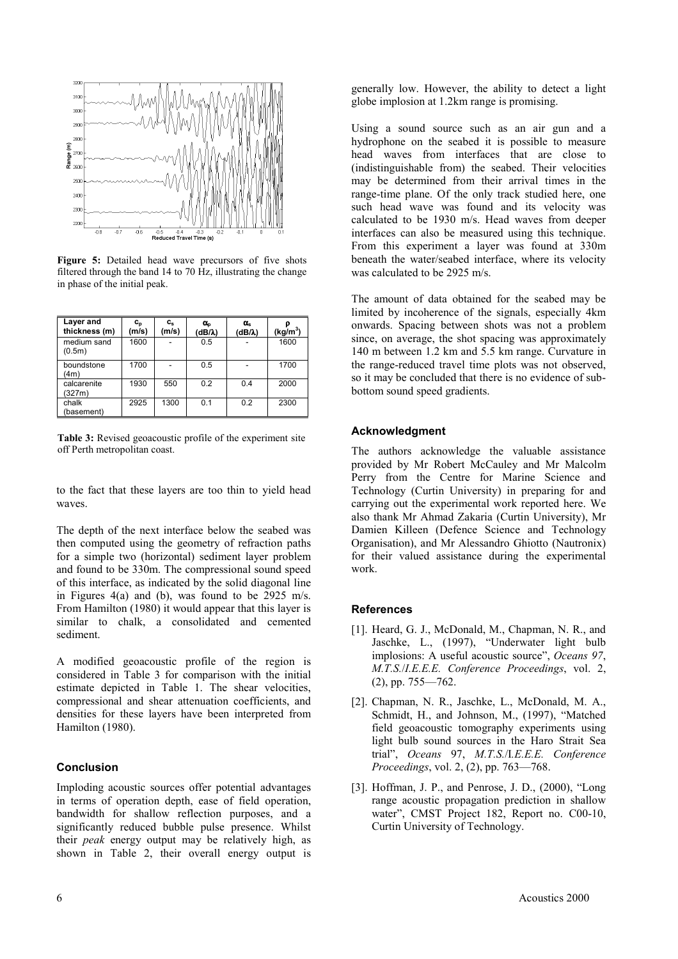

**Figure 5:** Detailed head wave precursors of five shots filtered through the band 14 to 70 Hz, illustrating the change in phase of the initial peak.

| Layer and<br>thickness (m) | $c_{p}$<br>(m/s) | $c_{s}$<br>(m/s) | $\alpha_{o}$<br>(dB/λ) | $\alpha_{s}$<br>(dB/λ) | $(kg/m^3)$ |
|----------------------------|------------------|------------------|------------------------|------------------------|------------|
| medium sand<br>(0.5m)      | 1600             |                  | 0.5                    |                        | 1600       |
| boundstone<br>(4m)         | 1700             |                  | 0.5                    |                        | 1700       |
| calcarenite<br>(327m)      | 1930             | 550              | 0.2                    | 0.4                    | 2000       |
| chalk<br>(basement)        | 2925             | 1300             | 0.1                    | 0.2                    | 2300       |

**Table 3:** Revised geoacoustic profile of the experiment site off Perth metropolitan coast.

to the fact that these layers are too thin to yield head waves.

The depth of the next interface below the seabed was then computed using the geometry of refraction paths for a simple two (horizontal) sediment layer problem and found to be 330m. The compressional sound speed of this interface, as indicated by the solid diagonal line in Figures 4(a) and (b), was found to be  $2925 \text{ m/s}$ . From Hamilton (1980) it would appear that this layer is similar to chalk, a consolidated and cemented sediment.

A modified geoacoustic profile of the region is considered in Table 3 for comparison with the initial estimate depicted in Table 1. The shear velocities, compressional and shear attenuation coefficients, and densities for these layers have been interpreted from Hamilton (1980).

## **Conclusion**

Imploding acoustic sources offer potential advantages in terms of operation depth, ease of field operation, bandwidth for shallow reflection purposes, and a significantly reduced bubble pulse presence. Whilst their *peak* energy output may be relatively high, as shown in Table 2, their overall energy output is generally low. However, the ability to detect a light globe implosion at 1.2km range is promising.

Using a sound source such as an air gun and a hydrophone on the seabed it is possible to measure head waves from interfaces that are close to (indistinguishable from) the seabed. Their velocities may be determined from their arrival times in the range-time plane. Of the only track studied here, one such head wave was found and its velocity was calculated to be 1930 m/s. Head waves from deeper interfaces can also be measured using this technique. From this experiment a layer was found at 330m beneath the water/seabed interface, where its velocity was calculated to be 2925 m/s.

The amount of data obtained for the seabed may be limited by incoherence of the signals, especially 4km onwards. Spacing between shots was not a problem since, on average, the shot spacing was approximately 140 m between 1.2 km and 5.5 km range. Curvature in the range-reduced travel time plots was not observed, so it may be concluded that there is no evidence of subbottom sound speed gradients.

## **Acknowledgment**

The authors acknowledge the valuable assistance provided by Mr Robert McCauley and Mr Malcolm Perry from the Centre for Marine Science and Technology (Curtin University) in preparing for and carrying out the experimental work reported here. We also thank Mr Ahmad Zakaria (Curtin University), Mr Damien Killeen (Defence Science and Technology Organisation), and Mr Alessandro Ghiotto (Nautronix) for their valued assistance during the experimental work.

#### **References**

- [1]. Heard, G. J., McDonald, M., Chapman, N. R., and Jaschke, L., (1997), "Underwater light bulb implosions: A useful acoustic source", *Oceans 97*, *M.T.S.*/*I.E.E.E. Conference Proceedings*, vol. 2, (2), pp. 755—762.
- [2]. Chapman, N. R., Jaschke, L., McDonald, M. A., Schmidt, H., and Johnson, M., (1997), "Matched field geoacoustic tomography experiments using light bulb sound sources in the Haro Strait Sea trial", *Oceans* 97, *M.T.S.*/I*.E.E.E. Conference Proceedings*, vol. 2, (2), pp. 763—768.
- [3]. Hoffman, J. P., and Penrose, J. D., (2000), "Long range acoustic propagation prediction in shallow water", CMST Project 182, Report no. C00-10, Curtin University of Technology.